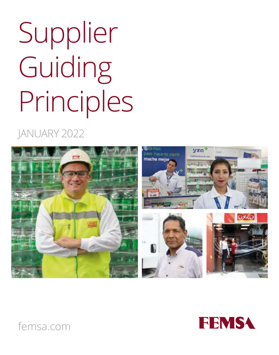# Supplier Guiding Principles

### JANUARY 2022





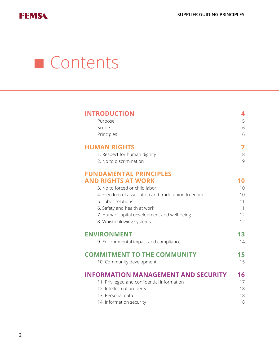

### **Contents**

| <b>INTRODUCTION</b>                               | 4  |
|---------------------------------------------------|----|
| Purpose                                           | 5  |
| Scope                                             | 6  |
| Principles                                        | 6  |
| <b>HUMAN RIGHTS</b>                               | 7  |
| 1. Respect for human dignity                      | 8  |
| 2. No to discrimination                           | 9  |
| <b>FUNDAMENTAL PRINCIPLES</b>                     |    |
| AND RIGHTS AT WORK                                | 10 |
| 3. No to forced or child labor                    | 10 |
| 4. Freedom of association and trade-union freedom | 10 |
| 5. Labor relations                                | 11 |
| 6. Safety and health at work                      | 11 |
| 7. Human capital development and well-being       | 12 |
| 8. Whistleblowing systems                         | 12 |
| <b>ENVIRONMENT</b>                                | 13 |
| 9. Environmental impact and compliance            | 14 |
| <b>COMMITMENT TO THE COMMUNITY</b>                | 15 |
| 10. Community development                         | 15 |
| <b>INFORMATION MANAGEMENT AND SECURITY</b>        | 16 |
| 11. Privileged and confidential information       | 17 |
| 12. Intellectual property                         | 18 |
| 13. Personal data                                 | 18 |
| 14. Information security                          | 18 |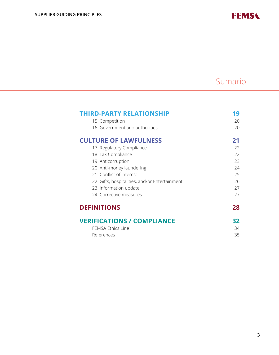**FEMS4** 

#### Sumario

| <b>THIRD-PARTY RELATIONSHIP</b>                | $\overline{9}$ |
|------------------------------------------------|----------------|
| 15. Competition                                | 20             |
| 16. Government and authorities                 | 20             |
| <b>CULTURE OF LAWFULNESS</b>                   | 21             |
| 17. Regulatory Compliance                      | 22             |
| 18. Tax Compliance                             | 22             |
| 19. Anticorruption                             | 23             |
| 20. Anti-money laundering                      | 24             |
| 21. Conflict of interest                       | 25             |
| 22. Gifts, hospitalities, and/or Entertainment | 26             |
| 23. Information update                         | 27             |
| 24. Corrective measures                        | 27             |
| <b>DEFINITIONS</b>                             | 28             |
| <b>VERIFICATIONS / COMPLIANCE</b>              | 32             |
| <b>FEMSA Ethics Line</b>                       | 34             |
| References                                     | 35             |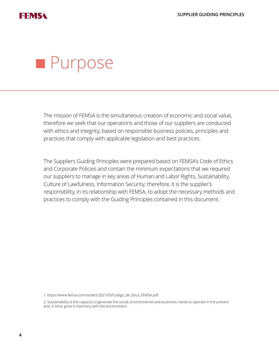

### **Purpose**

The mission of FEMSA is the simultaneous creation of economic and social value, therefore we seek that our operations and those of our suppliers are conducted with ethics and integrity, based on responsible business policies, principles and practices that comply with applicable legislation and best practices.

The Suppliers Guiding Principles were prepared based on FEMSA's Code of Ethics and Corporate Policies and contain the minimum expectations that we required our suppliers to manage in key areas of Human and Labor Rights, Sustainability, Culture of Lawfulness, Information Security; therefore, it is the supplier's responsibility, in its relationship with FEMSA, to adopt the necessary methods and practices to comply with the Guiding Principles contained in this document.

1. https://www.femsa.com/assets/2021/03/Codigo\_de\_Etica\_FEMSA.pdf

2. Sustainability is the capacity to generate the social, environmental and economic needs to operate in the present and, in time, grow in harmony with the environment.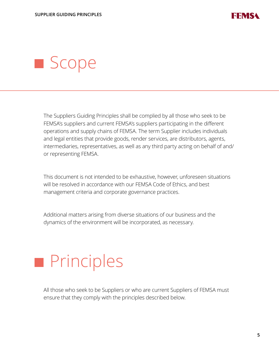

### **Scope**

The Suppliers Guiding Principles shall be complied by all those who seek to be FEMSA's suppliers and current FEMSA's suppliers participating in the different operations and supply chains of FEMSA. The term Supplier includes individuals and legal entities that provide goods, render services, are distributors, agents, intermediaries, representatives, as well as any third party acting on behalf of and/ or representing FEMSA.

This document is not intended to be exhaustive, however, unforeseen situations will be resolved in accordance with our FEMSA Code of Ethics, and best management criteria and corporate governance practices.

Additional matters arising from diverse situations of our business and the dynamics of the environment will be incorporated, as necessary.

### **Principles**

All those who seek to be Suppliers or who are current Suppliers of FEMSA must ensure that they comply with the principles described below.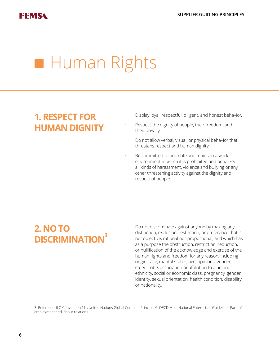### **Human Rights**

#### **1. RESPECT FOR HUMAN DIGNITY**

- Display loyal, respectful, diligent, and honest behavior.
- Respect the dignity of people, their freedom, and their privacy.
- Do not allow verbal, visual, or physical behavior that threatens respect and human dignity.
- Be committed to promote and maintain a work environment in which it is prohibited and penalized all kinds of harassment, violence and bullying or any other threatening activity against the dignity and respect of people.

#### **2. NO TO DISCRIMINATION3**

Do not discriminate against anyone by making any distinction, exclusion, restriction, or preference that is not objective, rational nor proportional, and which has as a purpose the obstruction, restriction, reduction, or nullification of the acknowledge and exercise of the human rights and freedom for any reason, including origin, race, marital status, age, opinions, gender, creed, tribe, association or affiliation to a union, ethnicity, social or economic class, pregnancy, gender identity, sexual orientation, health condition, disability, or nationality.

3. Reference: ILO Convention 111, United Nations Global Compact Principle 6, OECD Multi National Enterprises Guidelines Part I-V employment and labour relations.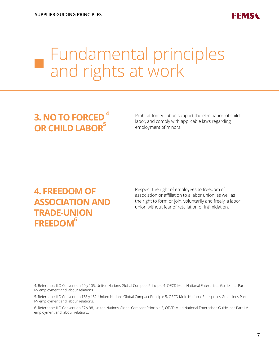

### Fundamental principles and rights at work

#### **3. NO TO FORCED OR CHILD LABOR<sup>5</sup>**

Prohibit forced labor, support the elimination of child labor, and comply with applicable laws regarding employment of minors.

#### **4. FREEDOM OF ASSOCIATION AND TRADE-UNION FREEDOM6**

Respect the right of employees to freedom of association or affiliation to a labor union, as well as the right to form or join, voluntarily and freely, a labor union without fear of retaliation or intimidation.

4. Reference: ILO Convention 29 y 105, United Nations Global Compact Principle 4, OECD Multi National Enterprises Guidelines Part I-V employment and labour relations.

5. Reference: ILO Convention 138 y 182, United Nations Global Compact Principle 5, OECD Multi National Enterprises Guidelines Part I-V employment and labour relations.

6. Reference: ILO Convention 87 y 98, United Nations Global Compact Principle 3, OECD Multi National Enterprises Guidelines Part I-V employment and labour relations.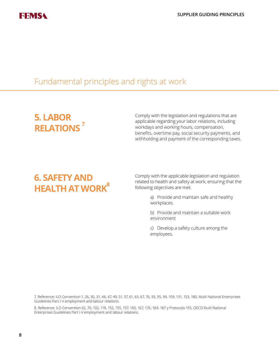

#### Fundamental principles and rights at work

#### **5. LABOR RELATIONS 7**

Comply with the legislation and regulations that are applicable regarding your labor relations, including workdays and working hours, compensation, benefits, overtime pay, social security payments, and withholding and payment of the corresponding taxes.

#### **6. SAFETY AND HEALTH AT WORK<sup>8</sup>**

Comply with the applicable legislation and regulation related to health and safety at work, ensuring that the following objectives are met:

> a) Provide and maintain safe and healthy workplaces.

b) Provide and maintain a suitable work environment

c) Develop a safety culture among the employees.

7. Reference: ILO Convention 1, 26, 30, 31, 46, 47, 49, 51, 57, 61, 63, 67, 76, 93, 95, 99, 109, 131, 153, 180, Multi National Enterprises Guidelines Part I-V employment and labour relations.

8. Reference: ILO Convention 62, 70, 102, 118, 152, 155, 157, 165, 167, 176, 184, 187 y Protocolo 155, OECD Multi National Enterprises Guidelines Part I-V employment and labour relations.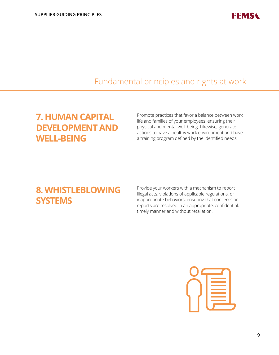

#### Fundamental principles and rights at work

#### **7. HUMAN CAPITAL DEVELOPMENT AND WELL-BEING**

Promote practices that favor a balance between work life and families of your employees, ensuring their physical and mental well-being. Likewise, generate actions to have a healthy work environment and have a training program defined by the identified needs.

#### **8. WHISTLEBLOWING SYSTEMS**

Provide your workers with a mechanism to report illegal acts, violations of applicable regulations, or inappropriate behaviors, ensuring that concerns or reports are resolved in an appropriate, confidential, timely manner and without retaliation.

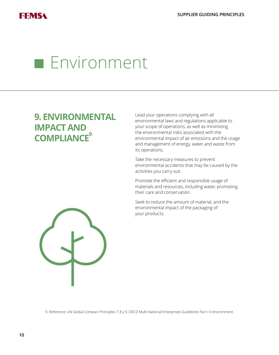### **Environment**

#### **9. ENVIRONMENTAL IMPACT AND COMPLIANCE<sup>9</sup>**

Lead your operations complying with all environmental laws and regulations applicable to your scope of operations, as well as minimizing the environmental risks associated with the environmental impact of air emissions and the usage and management of energy, water and waste from its operations.

Take the necessary measures to prevent environmental accidents that may be caused by the activities you carry out.

Promote the efficient and responsible usage of materials and resources, including water, promoting their care and conservation.

Seek to reduce the amount of material, and the environmental impact of the packaging of your products.



9. Reference: UN Global Compact Principles 7, 8 y 9, OECD Multi National Enterprises Guidelines Part I-V environment.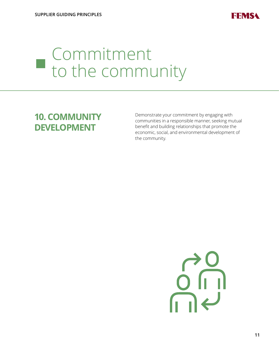

### Commitment to the community

#### **10. COMMUNITY DEVELOPMENT**

Demonstrate your commitment by engaging with communities in a responsible manner, seeking mutual benefit and building relationships that promote the economic, social, and environmental development of the community.

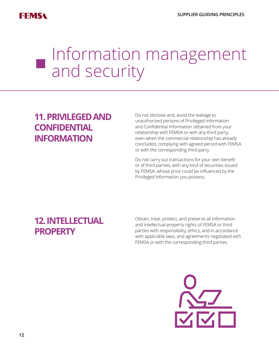

### Information management and security

#### **11. PRIVILEGED AND CONFIDENTIAL INFORMATION**

Do not disclose and, avoid the leakage to unauthorized persons of Privileged Information and Confidential Information obtained from your relationship with FEMSA or with any third party, even when the commercial relationship has already concluded, complying with agreed period with FEMSA or with the corresponding third party.

Do not carry out transactions for your own benefit or of third parties, with any kind of securities issued by FEMSA, whose price could be influenced by the Privileged Information you possess.

#### **12. INTELLECTUAL PROPERTY**

Obtain, treat, protect, and preserve all information and intellectual property rights of FEMSA or third parties with responsibility, ethics, and in accordance with applicable laws, and agreements negotiated with FEMSA or with the corresponding third parties.

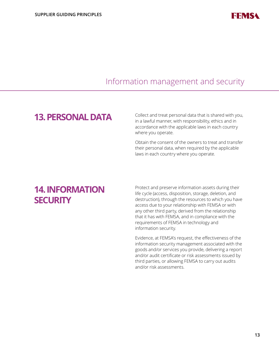

#### Information management and security

#### **13. PERSONAL DATA**

Collect and treat personal data that is shared with you, in a lawful manner, with responsibility, ethics and in accordance with the applicable laws in each country where you operate.

Obtain the consent of the owners to treat and transfer their personal data, when required by the applicable laws in each country where you operate.

#### **14. INFORMATION SECURITY**

Protect and preserve information assets during their life cycle (access, disposition, storage, deletion, and destruction), through the resources to which you have access due to your relationship with FEMSA or with any other third party, derived from the relationship that it has with FEMSA, and in compliance with the requirements of FEMSA in technology and information security.

Evidence, at FEMSA's request, the effectiveness of the information security management associated with the goods and/or services you provide, delivering a report and/or audit certificate or risk assessments issued by third parties, or allowing FEMSA to carry out audits and/or risk assessments.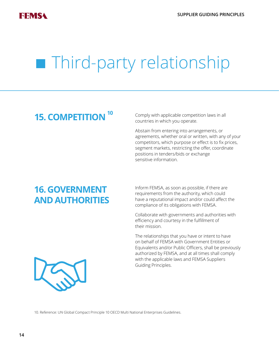## **Third-party relationship**

#### **15. COMPETITION**

Comply with applicable competition laws in all countries in which you operate.

Abstain from entering into arrangements, or agreements, whether oral or written, with any of your competitors, which purpose or effect is to fix prices, segment markets, restricting the offer, coordinate positions in tenders/bids or exchange sensitive information.

#### **16. GOVERNMENT AND AUTHORITIES**

Inform FEMSA, as soon as possible, if there are requirements from the authority, which could have a reputational impact and/or could affect the compliance of its obligations with FEMSA.

Collaborate with governments and authorities with efficiency and courtesy in the fulfillment of their mission.

The relationships that you have or intent to have on behalf of FEMSA with Government Entities or Equivalents and/or Public Officers, shall be previously authorized by FEMSA, and at all times shall comply with the applicable laws and FEMSA Suppliers Guiding Principles.



10. Reference: UN Global Compact Principle 10 OECD Multi National Enterprises Guidelines.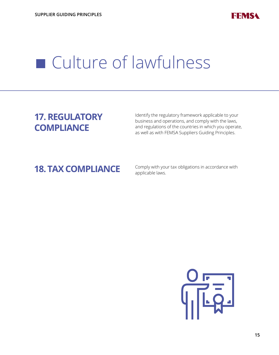

#### **17. REGULATORY COMPLIANCE**

Identify the regulatory framework applicable to your business and operations, and comply with the laws, and regulations of the countries in which you operate, as well as with FEMSA Suppliers Guiding Principles.

**18. TAX COMPLIANCE** Comply with your tax obligations in accordance with applicable laws.

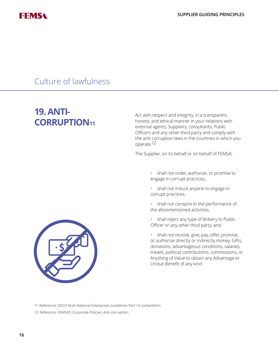

#### **19. ANTI-CORRUPTION11**

Act with respect and integrity, in a transparent, honest, and ethical manner in your relations with external agents, Suppliers, consultants, Public Officers and any other third party and comply with the anti-corruption laws in the countries in which you operate.12

The Supplier, on its behalf or on behalf of FEMSA:

- shall not order, authorize, or promise to engage in corrupt practices,
- shall not induce anyone to engage in corrupt practices,
- shall not conspire in the performance of the aforementioned activities,
- shall reject any type of Bribery to Public Officer or any other third party, and
- shall not receive, give, pay, offer, promise, or authorize directly or indirectly money, Gifts, donations, advantageous conditions, salaries, travels, political contributions, commissions, or Anything of Value to obtain any Advantage or Undue Benefit of any kind.



- 11. Reference: OECD Multi National Enterprises Guidelines Part l-X competition.
- 12. Reference: FEMSA'S Corporate Policies: Anti-corruption.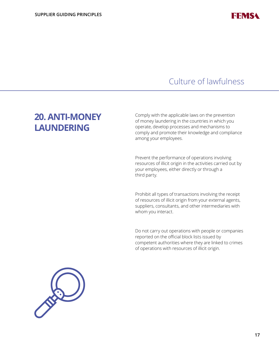

#### **20. ANTI-MONEY LAUNDERING**

Comply with the applicable laws on the prevention of money laundering in the countries in which you operate, develop processes and mechanisms to comply and promote their knowledge and compliance among your employees.

Prevent the performance of operations involving resources of illicit origin in the activities carried out by your employees, either directly or through a third party.

Prohibit all types of transactions involving the receipt of resources of illicit origin from your external agents, suppliers, consultants, and other intermediaries with whom you interact.

Do not carry out operations with people or companies reported on the official block lists issued by competent authorities where they are linked to crimes of operations with resources of illicit origin.

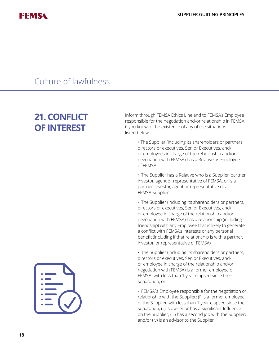

#### **21. CONFLICT OF INTEREST**

Inform through FEMSA Ethics Line and to FEMSA's Employee responsible for the negotiation and/or relationship in FEMSA, if you know of the existence of any of the situations listed below:

> • The Supplier (including its shareholders or partners, directors or executives, Senior Executives, and/ or employees in charge of the relationship and/or negotiation with FEMSA) has a Relative as Employee of FEMSA,

• The Supplier has a Relative who is a Supplier, partner, investor, agent or representative of FEMSA, or is a partner, investor, agent or representative of a FEMSA Supplier,

• The Supplier (including its shareholders or partners, directors or executives, Senior Executives, and/ or employee in charge of the relationship and/or negotiation with FEMSA) has a relationship (including friendship) with any Employee that is likely to generate a conflict with FEMSA's interests or any personal benefit (including if that relationship is with a partner, investor, or representative of FEMSA),

• The Supplier (including its shareholders or partners, directors or executives, Senior Executives, and/ or employee in charge of the relationship and/or negotiation with FEMSA) is a former employee of FEMSA, with less than 1 year elapsed since their separation, or

• FEMSA´s Employee responsible for the negotiation or relationship with the Supplier: (i) Is a former employee of the Supplier, with less than 1 year elapsed since their separation; (ii) is owner or has a Significant Influence on the Supplier; (iii) has a second job with the Supplier; and/or (iv) is an advisor to the Supplier.

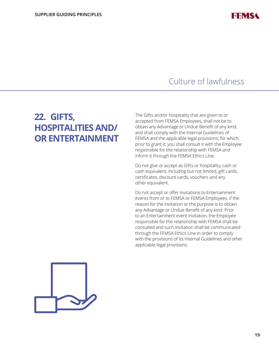

#### **22. GIFTS, HOSPITALITIES AND/ OR ENTERTAINMENT**

The Gifts and/or hospitality that are given to or accepted from FEMSA Employees, shall not be to obtain any Advantage or Undue Benefit of any kind, and shall comply with the Internal Guidelines of FEMSA and the applicable legal provisions, for which, prior to grant it, you shall consult it with the Employee responsible for the relationship with FEMSA and inform it through the FEMSA Ethics Line.

Do not give or accept as Gifts or hospitality, cash or cash equivalent, including but not limited, gift cards, certificates, discount cards, vouchers and any other equivalent.

Do not accept or offer invitations to Entertainment events from or to FEMSA or FEMSA Employees, if the reason for the invitation or the purpose is to obtain any Advantage or Undue Benefit of any kind. Prior to an Entertainment event invitation, the Employee responsible for the relationship with FEMSA shall be consulted and such invitation shall be communicated through the FEMSA Ethics Line in order to comply with the provisions of its Internal Guidelines and other applicable legal provisions.

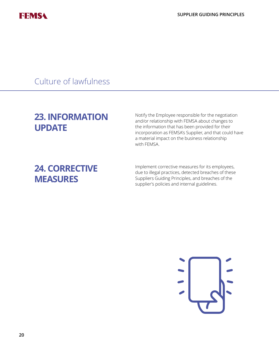

#### **23. INFORMATION UPDATE**

Notify the Employee responsible for the negotiation and/or relationship with FEMSA about changes to the information that has been provided for their incorporation as FEMSA's Supplier, and that could have a material impact on the business relationship with FEMSA.

#### **24. CORRECTIVE MEASURES**

Implement corrective measures for its employees, due to illegal practices, detected breaches of these Suppliers Guiding Principles, and breaches of the supplier's policies and internal guidelines.

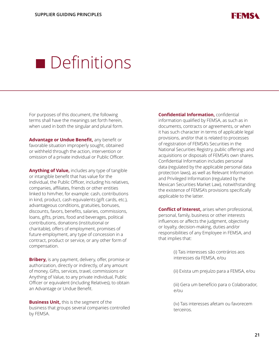

For purposes of this document, the following terms shall have the meanings set forth herein, when used in both the singular and plural form.

**Advantage or Undue Benefit,** any benefit or favorable situation improperly sought, obtained or withheld through the action, intervention or omission of a private individual or Public Officer.

**Anything of Value,** includes any type of tangible or intangible benefit that has value for the individual, the Public Officer, including his relatives, companies, affiliates, friends or other entities linked to him/her, for example: cash, contributions in kind, product, cash equivalents (gift cards, etc.), advantageous conditions, gratuities, bonuses, discounts, favors, benefits, salaries, commissions, loans, gifts, prizes, food and beverages, political contributions, donations (institutional or charitable), offers of employment, promises of future employment, any type of concession in a contract, product or service, or any other form of compensation.

**Bribery,** is any payment, delivery, offer, promise or authorization, directly or indirectly, of any amount of money, Gifts, services, travel, commissions or Anything of Value, to any private individual, Public Officer or equivalent (including Relatives), to obtain an Advantage or Undue Benefit.

**Business Unit,** this is the segment of the business that groups several companies controlled by FEMSA.

**Confidential Information,** confidential information qualified by FEMSA, as such as in documents, contracts or agreements, or when it has such character in terms of applicable legal provisions, and/or that is related to processes of registration of FEMSA's Securities in the National Securities Registry, public offerings and acquisitions or disposals of FEMSA's own shares. Confidential Information includes personal data (regulated by the applicable personal data protection laws), as well as Relevant Information and Privileged Information (regulated by the Mexican Securities Market Law), notwithstanding the existence of FEMSA's provisions specifically applicable to the latter.

**Conflict of Interest,** arises when professional, personal, family, business or other interests influences or affects the judgment, objectivity or loyalty, decision-making, duties and/or responsibilities of any Employee in FEMSA, and that implies that:

> (i) Tais interesses são contrários aos interesses da FEMSA, e/ou

(ii) Exista um prejuízo para a FEMSA, e/ou

(iii) Gera um benefício para o Colaborador, e/ou

(iv) Tais interesses afetam ou favorecem terceiros.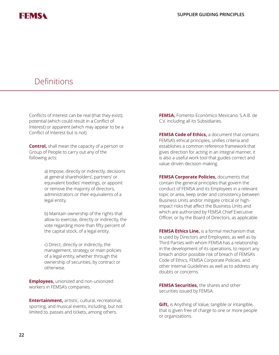

Conflicts of Interest can be real (that they exist), potential (which could result in a Conflict of Interest) or apparent (which may appear to be a Conflict of Interest but is not).

**Control,** shall mean the capacity of a person or Group of People to carry out any of the following acts:

> a) Impose, directly or indirectly, decisions at general shareholders', partners' or equivalent bodies' meetings, or appoint or remove the majority of directors, administrators or their equivalents of a legal entity.

b) Maintain ownership of the rights that allow to exercise, directly or indirectly, the vote regarding more than fifty percent of the capital stock, of a legal entity.

c) Direct, directly or indirectly, the management, strategy or main policies of a legal entity, whether through the ownership of securities, by contract or otherwise.

**Employees,** unionized and non-unionized workers in FEMSA's companies.

**Entertainment,** artistic, cultural, recreational, sporting, and musical events, including, but not limited to, passes and tickets, among others.

**FEMSA,** Fomento Económico Mexicano, S.A.B. de C.V. including all its Subsidiaries.

**FEMSA Code of Ethics,** a document that contains FEMSA's ethical principles, unifies criteria and establishes a common reference framework that gives direction for acting in an integral manner, it is also a useful work tool that guides correct and value-driven decision-making.

**FEMSA Corporate Policies,** documents that contain the general principles that govern the conduct of FEMSA and its Employees in a relevant topic or area, keep order and consistency between Business Units and/or mitigate critical or highimpact risks that affect the Business Units and which are authorized by FEMSA Chief Executive Officer, or by the Board of Directors, as applicable.

**FEMSA Ethics Line,** is a formal mechanism that is used by Directors and Employees, as well as by Third Parties with whom FEMSA has a relationship in the development of its operations, to report any breach and/or possible risk of breach of FEMSA's Code of Ethics, FEMSA Corporate Policies, and other Internal Guidelines as well as to address any doubts or concerns.

**FEMSA Securities,** the shares and other securities issued by FEMSA.

**Gift,** is Anything of Value, tangible or intangible, that is given free of charge to one or more people or organizations.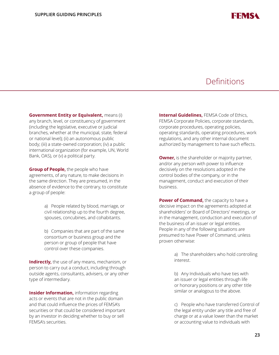

**Government Entity or Equivalent,** means (i) any branch, level, or constituency of government (including the legislative, executive or judicial branches, whether at the municipal, state, federal or national level); (ii) an autonomous public body; (iii) a state-owned corporation; (iv) a public international organization (for example, UN, World Bank, OAS), or (v) a political party.

**Group of People,** the people who have agreements, of any nature, to make decisions in the same direction. They are presumed, in the absence of evidence to the contrary, to constitute a group of people:

> a) People related by blood, marriage, or civil relationship up to the fourth degree, spouses, concubines, and cohabitants.

b) Companies that are part of the same consortium or business group and the person or group of people that have control over these companies.

**Indirectly,** the use of any means, mechanism, or person to carry out a conduct, including through outside agents, consultants, advisers, or any other type of intermediary.

**Insider Information,** information regarding acts or events that are not in the public domain and that could influence the prices of FEMSA's securities or that could be considered important by an investor in deciding whether to buy or sell FEMSA's securities.

**Internal Guidelines,** FEMSA Code of Ethics, FEMSA Corporate Policies, corporate standards, corporate procedures, operating policies, operating standards, operating procedures, work regulations, and any other internal document authorized by management to have such effects.

**Owner,** is the shareholder or majority partner, and/or any person with power to influence decisively on the resolutions adopted in the control bodies of the company, or in the management, conduct and execution of their business.

**Power of Command,** the capacity to have a decisive impact on the agreements adopted at shareholders' or Board of Directors' meetings, or in the management, conduction and execution of the business of an issuer or legal entities. People in any of the following situations are presumed to have Power of Command, unless proven otherwise:

> a) The shareholders who hold controlling interest.

b) Any Individuals who have ties with an issuer or legal entities through life or honorary positions or any other title similar or analogous to the above.

c) People who have transferred Control of the legal entity under any title and free of charge or at a value lower than the market or accounting value to individuals with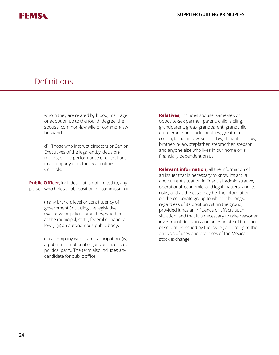whom they are related by blood, marriage or adoption up to the fourth degree, the spouse, common-law wife or common-law husband.

d) Those who instruct directors or Senior Executives of the legal entity, decisionmaking or the performance of operations in a company or in the legal entities it Controls.

**Public Officer,** includes, but is not limited to, any person who holds a job, position, or commission in

> (i) any branch, level or constituency of government (including the legislative, executive or judicial branches, whether at the municipal, state, federal or national level); (ii) an autonomous public body;

(iii) a company with state participation; (iv) a public international organization; or (v) a political party. The term also includes any candidate for public office.

**Relatives,** includes spouse, same-sex or opposite-sex partner, parent, child, sibling, grandparent, great- grandparent, grandchild, great-grandson, uncle, nephew, great-uncle, cousin, father-in-law, son-in- law, daughter-in-law, brother-in-law, stepfather, stepmother, stepson, and anyone else who lives in our home or is financially dependent on us.

**Relevant information,** all the information of an issuer that is necessary to know, its actual and current situation in financial, administrative, operational, economic, and legal matters, and its risks, and as the case may be, the information on the corporate group to which it belongs, regardless of its position within the group, provided it has an influence or affects such situation, and that it is necessary to take reasoned investment decisions and an estimate of the price of securities issued by the issuer, according to the analysis of uses and practices of the Mexican stock exchange.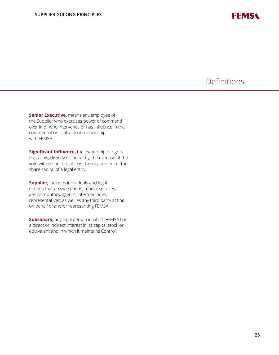

**Senior Executive,** means any employee of the Supplier who exercises power of command over it, or who intervenes or has influence in the commercial or contractual relationship with FEMSA.

**Significant Influence,** the ownership of rights that allow, directly or indirectly, the exercise of the vote with respect to at least twenty percent of the share capital of a legal entity.

**Supplier,** includes individuals and legal entities that provide goods, render services, are distributors, agents, intermediaries, representatives, as well as any third party acting on behalf of and/or representing FEMSA.

**Subsidiary,** any legal person in which FEMSA has a direct or indirect interest in its capital stock or equivalent and in which it maintains Control.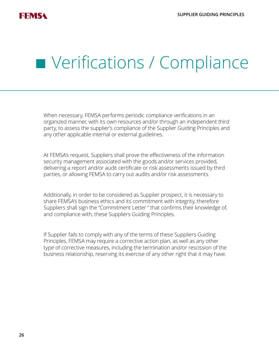

### **Verifications / Compliance**

When necessary, FEMSA performs periodic compliance verifications in an organized manner, with its own resources and/or through an independent third party, to assess the supplier's compliance of the Supplier Guiding Principles and any other applicable internal or external guidelines.

At FEMSA's request, Suppliers shall prove the effectiveness of the information security management associated with the goods and/or services provided, delivering a report and/or audit certificate or risk assessments issued by third parties, or allowing FEMSA to carry out audits and/or risk assessments.

Additionally, in order to be considered as Supplier prospect, it is necessary to share FEMSA's business ethics and its commitment with integrity, therefore Suppliers shall sign the "Commitment Letter " that confirms their knowledge of, and compliance with, these Suppliers Guiding Principles.

If Supplier fails to comply with any of the terms of these Suppliers Guiding Principles, FEMSA may require a corrective action plan, as well as any other type of corrective measures, including the termination and/or rescission of the business relationship, reserving its exercise of any other right that it may have.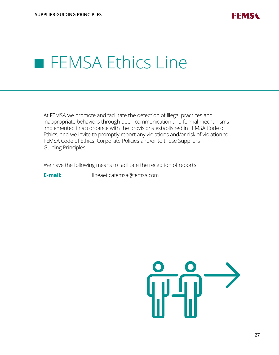

### **FEMSA Ethics Line**

At FEMSA we promote and facilitate the detection of illegal practices and inappropriate behaviors through open communication and formal mechanisms implemented in accordance with the provisions established in FEMSA Code of Ethics, and we invite to promptly report any violations and/or risk of violation to FEMSA Code of Ethics, Corporate Policies and/or to these Suppliers Guiding Principles.

We have the following means to facilitate the reception of reports:

**E-mail:** lineaeticafemsa@femsa.com

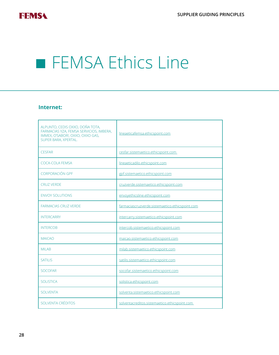

### **FEMSA Ethics Line**

#### **Internet:**

| ALPUNTO, CEDIS OXXO, DOÑA TOTA,<br>FARMACIAS YZA, FEMSA SERVICIOS, IMBERA,<br>IMMEX, O'SABOR!, OXXO, OXXO GAS,<br>SUPER BARA, XPERTAL. | lineaeticafemsa.ethicspoint.com                 |  |  |
|----------------------------------------------------------------------------------------------------------------------------------------|-------------------------------------------------|--|--|
| <b>CESFAR</b>                                                                                                                          | cesfar.sistemaetico.ethicspoint.com             |  |  |
| <b>COCA-COLA FEMSA</b>                                                                                                                 | lineaeticadilo.ethicspoint.com                  |  |  |
| CORPORACIÓN GPF                                                                                                                        | gpf.sistemaetico.ethicspoint.com                |  |  |
| <b>CRUZ VERDE</b>                                                                                                                      | cruzverde.sistemaetico.ethicspoint.com          |  |  |
| <b>ENVOY SOLUTIONS</b>                                                                                                                 | envoyethicsline.ethicspoint.com                 |  |  |
| <b>FARMACIAS CRUZ VERDE</b>                                                                                                            | farmaciascruzverde.sistemaetico.ethicspoint.com |  |  |
| <b>INTERCARRY</b>                                                                                                                      | intercarry.sistemaetico.ethicspoint.com         |  |  |
| <b>INTERCOB</b>                                                                                                                        | intercob.sistemaetico.ethicspoint.com           |  |  |
| <b>MAICAO</b>                                                                                                                          | maicao.sistemaetico.ethicspoint.com             |  |  |
| MII AB                                                                                                                                 | milab.sistemaetico.ethicspoint.com              |  |  |
| <b>SATILIS</b>                                                                                                                         | satilis.sistemaetico.ethicspoint.com            |  |  |
| <b>SOCOFAR</b>                                                                                                                         | socofar.sistemaetico.ethicspoint.com            |  |  |
| <b>SOLISTICA</b>                                                                                                                       | solistica.ethicspoint.com                       |  |  |
| <b>SOI VENTA</b>                                                                                                                       | solventa.sistemaetico.ethicspoint.com           |  |  |
| SOI VENTA CRÉDITOS                                                                                                                     | solventacreditos.sistemaetico.ethicspoint.com   |  |  |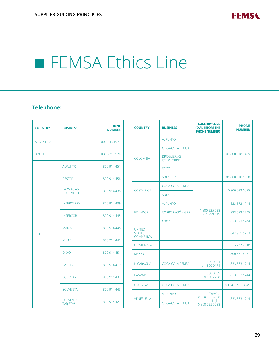

**PHONE NUMBER**

01 800 518 9439

01 800 518 5330

0 800 032 0075

84 4951 5233

2277 2618

800 681 8061

833 573 1744

833 573 1744

833 573 1744

000 413 598 3945

### **FEMSA Ethics Line**

#### **Telephone:**

| <b>COUNTRY</b>   | <b>BUSINESS</b>                    | <b>PHONE</b><br><b>NUMBER</b> |                 | <b>COUNTRY</b>                 | <b>BUSINESS</b>                        | <b>COUNTRY CODE</b><br>(DIAL BEFORE THE<br><b>PHONE NUMBER)</b> |                        |
|------------------|------------------------------------|-------------------------------|-----------------|--------------------------------|----------------------------------------|-----------------------------------------------------------------|------------------------|
| <b>ARGENTINA</b> |                                    | 0 800 345 1571                |                 |                                | <b>ALPUNTO</b>                         |                                                                 |                        |
|                  |                                    |                               | <b>COLOMBIA</b> |                                | COCA-COLA FEMSA                        |                                                                 |                        |
| <b>BRAZIL</b>    |                                    | 0 800 721 8529                |                 |                                | <b>DROGUERÍAS</b><br><b>CRUZ VERDE</b> |                                                                 |                        |
| <b>CHILE</b>     | <b>ALPUNTO</b>                     | 800 914 451                   |                 | <b>OXXO</b>                    |                                        |                                                                 |                        |
|                  | <b>CESFAR</b>                      | 800 914 458                   |                 |                                | <b>SOLISTICA</b>                       |                                                                 |                        |
|                  | <b>FARMACIAS</b>                   |                               |                 | <b>COSTA RICA</b>              | COCA-COLA FEMSA                        |                                                                 |                        |
|                  | <b>CRUZ VERDE</b>                  | 800 914 438                   |                 |                                | <b>SOLISTICA</b>                       |                                                                 |                        |
|                  | <b>INTERCARRY</b>                  | 800 914 439                   |                 |                                | <b>ALPUNTO</b>                         |                                                                 |                        |
|                  | <b>INTERCOB</b>                    | 800 914 445                   | <b>ECUADOR</b>  | <b>CORPORACIÓN GPF</b>         | 1800 225 528<br>o 1 999 119            |                                                                 |                        |
|                  |                                    |                               |                 |                                | <b>OXXO</b>                            |                                                                 |                        |
|                  | <b>MAICAO</b>                      | 800 914 448                   |                 | <b>UNITED</b><br><b>STATES</b> |                                        |                                                                 |                        |
|                  | <b>MILAB</b>                       | 800 914 442                   | OF AMERICA      |                                |                                        |                                                                 |                        |
|                  |                                    |                               |                 | <b>GUATEMALA</b>               |                                        |                                                                 |                        |
|                  | <b>OXXO</b>                        | 800 914 451                   |                 | <b>MEXICO</b>                  |                                        |                                                                 |                        |
|                  | <b>SATILIS</b>                     | 800 914 419                   |                 | <b>NICARAGUA</b>               | <b>COCA-COLA FEMSA</b>                 | 18000164<br>o 1 800 0174                                        |                        |
|                  | <b>SOCOFAR</b>                     | 800 914 437                   |                 |                                | <b>PANAMA</b>                          |                                                                 | 800 0109<br>o 800 2288 |
|                  |                                    |                               |                 | <b>URUGUAY</b>                 | COCA-COLA FEMSA                        |                                                                 |                        |
|                  | <b>SOLVENTA</b>                    | 800 914 443                   |                 |                                | <b>ALPUNTO</b>                         | Español<br>0 800 552 6288                                       |                        |
|                  | <b>SOLVENTA</b><br><b>TARIETAS</b> | 800 914 427                   |                 | <b>VENEZUELA</b>               | <b>COCA-COLA FEMSA</b>                 | Inglés<br>0 800 225 5288                                        |                        |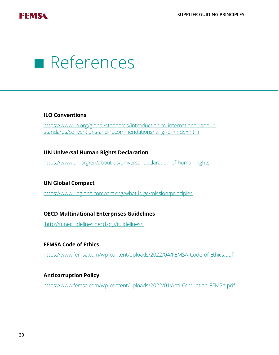

### References

#### **ILO Conventions**

https://www.ilo.org/global/standards/introduction-to-international-labourstandards/conventions-and-recommendations/lang--en/index.htm

#### **UN Universal Human Rights Declaration**

https://www.un.org/en/about-us/universal-declaration-of-human-rights

#### **UN Global Compact**

https://www.unglobalcompact.org/what-is-gc/mission/principles

#### **OECD Multinational Enterprises Guidelines**

http://mneguidelines.oecd.org/guidelines/

#### **FEMSA Code of Ethics**

<https://www.femsa.com/wp-content/uploads/2022/04/FEMSA-Code-of-Ethics.pdf>

#### **Anticorruption Policy**

<https://www.femsa.com/wp-content/uploads/2022/01/Anti-Corruption-FEMSA.pdf>